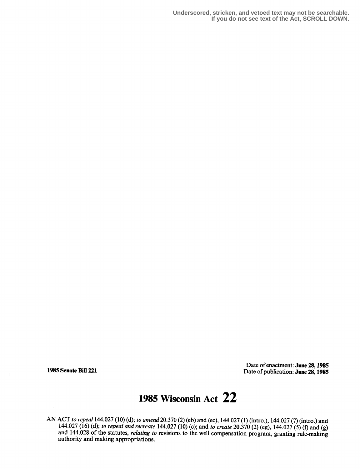**Underscored, stricken, and vetoed text may not be searchable. If you do not see text of the Act, SCROLL DOWN.**

Date of enactment: June 28,1985 1985 Senate Bill 221 Date of publication: June 28, 1985

## 1985 Wisconsin Act 22

AN ACT to repeal 144.027 (10) (d); to amend 20.370 (2) (eb) and (ec), 144.027 (1) (intro .), 144.027 (7) (intro .) and 144.027 (16) (d); to repeal and recreate 144.027 (10) (c); and to create 20.370 (2) (eg), 144.027 (5) (f) and (g) and 144.028 of the statutes, relating to revisions to the well compensation program, granting rule-making authority and making appropriations.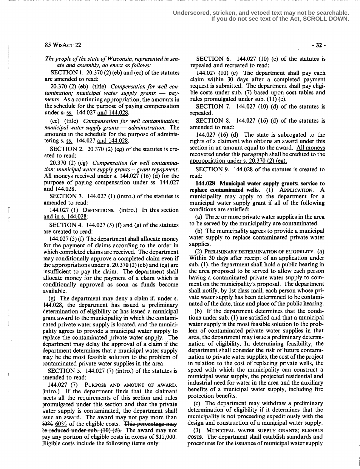## $85 WisACT 22$  -32-

The people of the state of Wisconsin, represented in senate and assembly, do enact as follows:

SECTION 1. 20.370 (2) (eb) and (ec) of the statutes are amended to read:

20.370 (2) (eb) (title) Compensation for well contamination; municipal water supply grants  $-$  payments. As a continuing appropriation, the amounts in the schedule for the purpose of paying compensation under  $\epsilon$  ss. 144.027 and 144.028.

(ec) (title) Compensation for well contamination; municipal water supply grants  $-$  administration. The amounts in the schedule for the purpose of administering s. ss. 144.027 and 144.028.

SECTION 2. 20.370 (2) (eg) of the statutes is created to read:

20.370 (2) (eg) Compensation for well contamination; municipal water supply grants -- grant repayment. All moneys received under s. 144.027 (16) (d) for the purpose of paying compensation under ss. 144.027 and 144.028.

SECTION 3.  $144.027$  (1) (intro.) of the statutes is amended to read:

144.027 (1) DEFINITIONS. (intro.) In this section and in s. 144.028:

SECTION 4. 144.027 (5) (f) and (g) of the statutes are created to read:

144.027 (5) (f) The department shall allocate money for the payment of claims according to the order in which completed claims are received. The department may conditionally approve a completed claim even if the appropriations under s. 20.370 (2) (eb) and (eg) are insufficient to pay the claim. The department shall allocate money for the payment of a claim which is conditionally approved as soon as funds become available.

(g) The department may deny a claim if, under s. 144.028, the department has issued a preliminary determination of eligibility or has issued a municipal grant award to the municipality in which the contaminated private water supply is located, and the municipality agrees to provide a municipal water supply to replace the contaminated private water supply. The department may delay the approval of a claim if the department determines that a municipal water supply may be the most feasible solution to the problem of contaminated private water supplies in the area.

SECTION 5. 144.027 (7) (intro.) of the statutes is amended to read:

144.027 (7) PURPOSE AND AMOUNT OF AWARD. (intro .) If the department . finds that the claimant meets all the requirements of this section and rules promulgated under this section and that the private water supply is contaminated, the department shall issue an award. The award may not pay more than  $80\%$  60% of the eligible costs. This percentage may be reduced under sub.  $(10)~ (d)$ . The award may not pay any portion of eligible costs in excess of \$12,000. Eligible costs include the following items only:

SECTION 6.  $144.027$  (10) (c) of the statutes is repealed and recreated to read:

144.027 (10) (c) The department shall pay each claim within 30 days after a completed payment request is submitted. The department shall pay eligible costs under sub. (7) based upon cost tables and rules promulgated under sub. (11) (c).

SECTION 7. 144.027 (10) (d) of the statutes is repealed.

SECTION 8. 144.027 (16) (d) of the statutes is amended to read:

144.027 (16) (d) The state is subrogated to the rights of a claimant who obtains an award under this section in an amount equal to the award. All moneys recovered under this paragraph shall be credited to the appropriation under s.  $20.370(2)$  (eg).

SECTION 9. 144.028 of the statutes is created to read:

144.028 Municipal water supply grants; service to replace contaminated wells. (1) APPLICATION. A municipality may apply to the department for a municipal water supply grant if all of the following conditions are satisfied:

(a) Three or more private water supplies in the area to be served by the municipality are contaminated .

(b) The municipality agrees to provide a municipal water supply to replace contaminated private water supplies.

(2) PRELIMINARY DETERMINATION OF ELIGIBILITY. (a) Within 30 days after receipt of an application under sub. (1), the department shall hold a public hearing in the area proposed to be served to allow each person having a contaminated private water supply to comment on the municipality's proposal. The department shall notify, by 1st class mail, each person whose private water supply has been determined to be contaminated of the date, time and place of the public hearing.

(b) If the department determines that the conditions under sub. (1) are satisfied and that a municipal water supply is the most feasible solution to the problem of contaminated private water supplies in that area, the department may issue a preliminary determination of eligibility. In determining feasibility, the department shall consider the risk of future contamination to private water supplies, the cost of the project in relation to the cost of replacing private wells, the speed with which the municipality can construct a municipal water supply, the projected residential and industrial need for water in the area and the auxiliary benefits of a municipal water supply, including fire protection benefits .

(c) The department may withdraw a preliminary determination of eligibility if it determines that the municipality is not proceeding expeditiously with the design and construction of a municipal water supply.

MUNICIPAL WATER SUPPLY GRANTS; ELIGIBLE COSTS. The department shall establish standards and procedures for the issuance of municipal water supply